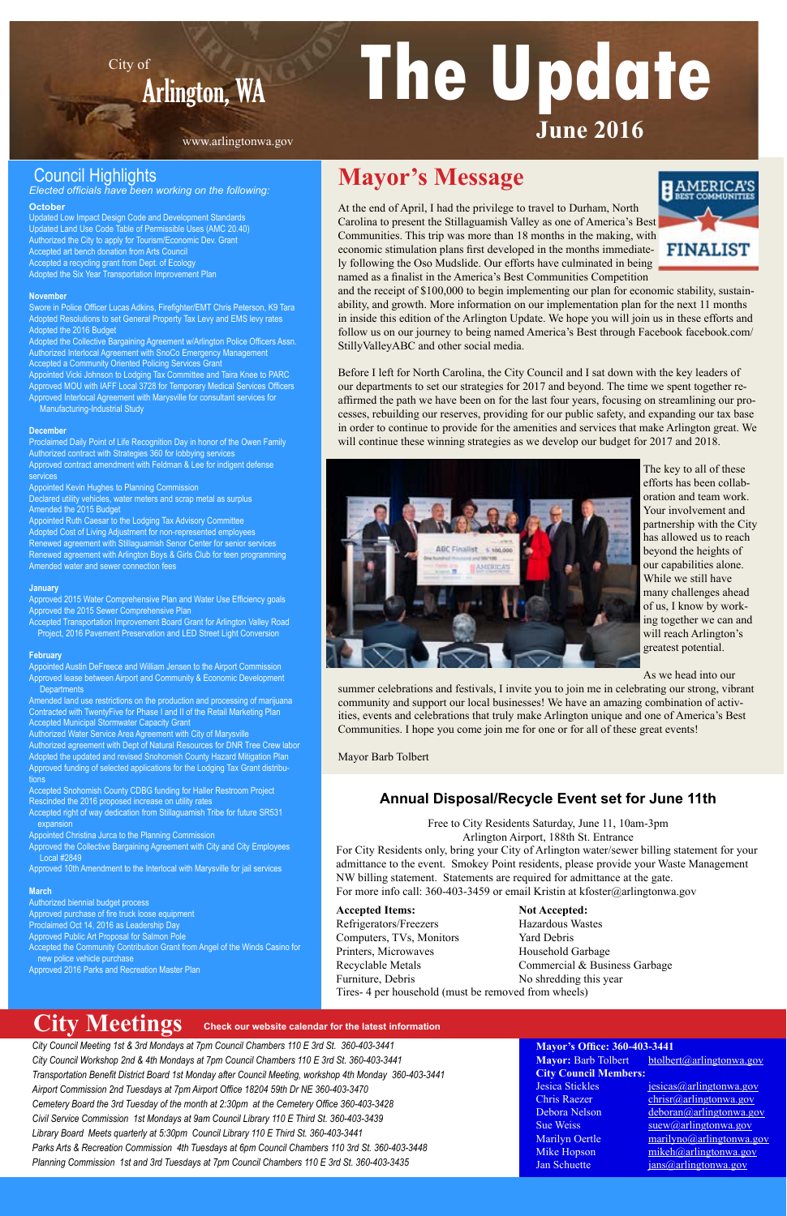# Arlington, WA **The Update June 2016**

**Mayor's Office: 360-403-3441** Mayor: Barb Tolbert btolbert@arlingtonwa.gov **City Council Members:** Jesica Stickles jesicas@arlingtonwa.gov Chris Raezer christ@arlingtonwa.gov Debora Nelson deboran@arlingtonwa.gov Sue Weiss suew@arlingtonwa.gov Marilyn Oertle marilyno@arlingtonwa.gov Mike Hopson mikeh@arlingtonwa.gov Jan Schuette jans@arlingtonwa.gov

*City Council Meeting 1st & 3rd Mondays at 7pm Council Chambers 110 E 3rd St. 360-403-3441 City Council Workshop 2nd & 4th Mondays at 7pm Council Chambers 110 E 3rd St. 360-403-3441 Transportation Benefit District Board 1st Monday after Council Meeting, workshop 4th Monday 360-403-3441 Airport Commission 2nd Tuesdays at 7pm Airport Office 18204 59th Dr NE 360-403-3470 Cemetery Board the 3rd Tuesday of the month at 2:30pm at the Cemetery Office 360-403-3428 Civil Service Commission 1st Mondays at 9am Council Library 110 E Third St. 360-403-3439 Library Board Meets quarterly at 5:30pm Council Library 110 E Third St. 360-403-3441 Parks Arts & Recreation Commission 4th Tuesdays at 6pm Council Chambers 110 3rd St. 360-403-3448 Planning Commission 1st and 3rd Tuesdays at 7pm Council Chambers 110 E 3rd St. 360-403-3435*

## **City Meetings**

[www.arlingtonwa.gov](http://arlingtonwa.gov/)

## **Mayor's Message**

At the end of April, I had the privilege to travel to Durham, North Carolina to present the Stillaguamish Valley as one of America's Best Communities. This trip was more than 18 months in the making, with economic stimulation plans first developed in the months immediately following the Oso Mudslide. Our efforts have culminated in being named as a finalist in the America's Best Communities Competition



and the receipt of \$100,000 to begin implementing our plan for economic stability, sustainability, and growth. More information on our implementation plan for the next 11 months in inside this edition of the Arlington Update. We hope you will join us in these efforts and follow us on our journey to being named America's Best through Facebook facebook.com/ StillyValleyABC and other social media.

Before I left for North Carolina, the City Council and I sat down with the key leaders of our departments to set our strategies for 2017 and beyond. The time we spent together reaffirmed the path we have been on for the last four years, focusing on streamlining our processes, rebuilding our reserves, providing for our public safety, and expanding our tax base in order to continue to provide for the amenities and services that make Arlington great. We will continue these winning strategies as we develop our budget for 2017 and 2018.



Appointed Austin DeFreece and William Jensen to the Airport Commission Approved lease between Airport and Community & Economic Development **Departments** 

The key to all of these efforts has been collaboration and team work. Your involvement and partnership with the City has allowed us to reach beyond the heights of our capabilities alone. While we still have many challenges ahead of us, I know by working together we can and will reach Arlington's greatest potential.

As we head into our

summer celebrations and festivals, I invite you to join me in celebrating our strong, vibrant community and support our local businesses! We have an amazing combination of activities, events and celebrations that truly make Arlington unique and one of America's Best Communities. I hope you come join me for one or for all of these great events!

Mayor Barb Tolbert

City of

## Council Highlights

*Elected officials have been working on the following:*

### **October**

For City Residents only, bring your City of Arlington water/sewer billing statement for your admittance to the event. Smokey Point residents, please provide your Waste Management NW billing statement. Statements are required for admittance at the gate. For more info call: 360-403-3459 or email Kristin at kfoster@arlingtonwa.gov

### Accepted Items: Not Accepted:

Updated Low Impact Design Code and Development Standards Updated Land Use Code Table of Permissible Uses (AMC 20.40) Authorized the City to apply for Tourism/Economic Dev. Grant Accepted art bench donation from Arts Council Accepted a recycling grant from Dept. of Ecology Adopted the Six Year Transportation Improvement Plan

#### **November**

Computers, TVs, Monitors Yard Debris Printers, Microwaves Household Garbage Recyclable Metals Commercial & Business Garbage Furniture, Debris No shredding this year Tires- 4 per household (must be removed from wheels)

Swore in Police Officer Lucas Adkins, Firefighter/EMT Chris Peterson, K9 Tara Adopted Resolutions to set General Property Tax Levy and EMS levy rates Adopted the 2016 Budget

Adopted the Collective Bargaining Agreement w/Arlington Police Officers Assn. Authorized Interlocal Agreement with SnoCo Emergency Management Accepted a Community Oriented Policing Services Grant Appointed Vicki Johnson to Lodging Tax Committee and Taira Knee to PARC

Approved MOU with IAFF Local 3728 for Temporary Medical Services Officers Approved Interlocal Agreement with Marysville for consultant services for

Manufacturing-Industrial Study

#### **December**

Proclaimed Daily Point of Life Recognition Day in honor of the Owen Family Authorized contract with Strategies 360 for lobbying services Approved contract amendment with Feldman & Lee for indigent defense services

Appointed Kevin Hughes to Planning Commission

Declared utility vehicles, water meters and scrap metal as surplus Amended the 2015 Budget

Appointed Ruth Caesar to the Lodging Tax Advisory Committee Adopted Cost of Living Adjustment for non-represented employees Renewed agreement with Stillaguamish Senor Center for senior services Renewed agreement with Arlington Boys & Girls Club for teen programming Amended water and sewer connection fees

### **January**

Approved 2015 Water Comprehensive Plan and Water Use Efficiency goals Approved the 2015 Sewer Comprehensive Plan

Accepted Transportation Improvement Board Grant for Arlington Valley Road Project, 2016 Pavement Preservation and LED Street Light Conversion

### **February**

Amended land use restrictions on the production and processing of marijuana Contracted with TwentyFive for Phase I and II of the Retail Marketing Plan Accepted Municipal Stormwater Capacity Grant

Authorized Water Service Area Agreement with City of Marysville

Authorized agreement with Dept of Natural Resources for DNR Tree Crew labor Adopted the updated and revised Snohomish County Hazard Mitigation Plan Approved funding of selected applications for the Lodging Tax Grant distributions

Accepted Snohomish County CDBG funding for Haller Restroom Project Rescinded the 2016 proposed increase on utility rates

Accepted right of way dedication from Stillaguamish Tribe for future SR531 expansion

Appointed Christina Jurca to the Planning Commission

Approved the Collective Bargaining Agreement with City and City Employees Local #2849

Approved 10th Amendment to the Interlocal with Marysville for jail services

### **March**

Authorized biennial budget process Approved purchase of fire truck loose equipment Proclaimed Oct 14, 2016 as Leadership Day Approved Public Art Proposal for Salmon Pole Accepted the Community Contribution Grant from Angel of the Winds Casino for new police vehicle purchase Approved 2016 Parks and Recreation Master Plan

**Check our website calendar for the latest information**

### **Annual Disposal/Recycle Event set for June 11th**

Free to City Residents Saturday, June 11, 10am-3pm Arlington Airport, 188th St. Entrance

Refrigerators/Freezers Hazardous Wastes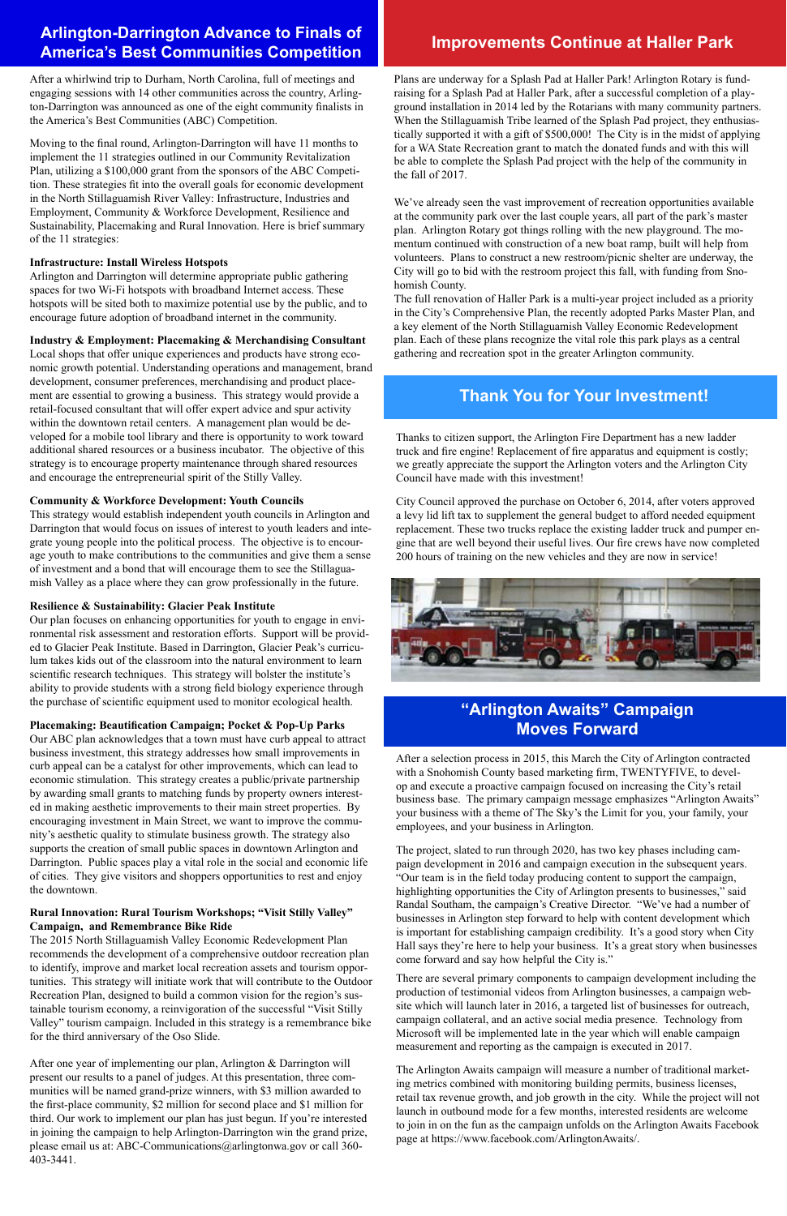After a whirlwind trip to Durham, North Carolina, full of meetings and engaging sessions with 14 other communities across the country, Arlington-Darrington was announced as one of the eight community finalists in the America's Best Communities (ABC) Competition.

Moving to the final round, Arlington-Darrington will have 11 months to implement the 11 strategies outlined in our Community Revitalization Plan, utilizing a \$100,000 grant from the sponsors of the ABC Competition. These strategies fit into the overall goals for economic development in the North Stillaguamish River Valley: Infrastructure, Industries and Employment, Community & Workforce Development, Resilience and Sustainability, Placemaking and Rural Innovation. Here is brief summary of the 11 strategies:

### **Infrastructure: Install Wireless Hotspots**

Arlington and Darrington will determine appropriate public gathering spaces for two Wi-Fi hotspots with broadband Internet access. These hotspots will be sited both to maximize potential use by the public, and to encourage future adoption of broadband internet in the community.

### **Industry & Employment: Placemaking & Merchandising Consultant**

Local shops that offer unique experiences and products have strong economic growth potential. Understanding operations and management, brand development, consumer preferences, merchandising and product placement are essential to growing a business. This strategy would provide a retail-focused consultant that will offer expert advice and spur activity within the downtown retail centers. A management plan would be developed for a mobile tool library and there is opportunity to work toward additional shared resources or a business incubator. The objective of this strategy is to encourage property maintenance through shared resources and encourage the entrepreneurial spirit of the Stilly Valley.

### **Community & Workforce Development: Youth Councils**

This strategy would establish independent youth councils in Arlington and Darrington that would focus on issues of interest to youth leaders and integrate young people into the political process. The objective is to encourage youth to make contributions to the communities and give them a sense of investment and a bond that will encourage them to see the Stillaguamish Valley as a place where they can grow professionally in the future.

### **Resilience & Sustainability: Glacier Peak Institute**

Our plan focuses on enhancing opportunities for youth to engage in environmental risk assessment and restoration efforts. Support will be provided to Glacier Peak Institute. Based in Darrington, Glacier Peak's curriculum takes kids out of the classroom into the natural environment to learn scientific research techniques. This strategy will bolster the institute's ability to provide students with a strong field biology experience through the purchase of scientific equipment used to monitor ecological health.

### **Placemaking: Beautification Campaign; Pocket & Pop-Up Parks**

Our ABC plan acknowledges that a town must have curb appeal to attract business investment, this strategy addresses how small improvements in curb appeal can be a catalyst for other improvements, which can lead to economic stimulation. This strategy creates a public/private partnership by awarding small grants to matching funds by property owners interested in making aesthetic improvements to their main street properties. By encouraging investment in Main Street, we want to improve the community's aesthetic quality to stimulate business growth. The strategy also supports the creation of small public spaces in downtown Arlington and Darrington. Public spaces play a vital role in the social and economic life of cities. They give visitors and shoppers opportunities to rest and enjoy the downtown.

### **Rural Innovation: Rural Tourism Workshops; "Visit Stilly Valley" Campaign, and Remembrance Bike Ride**

The 2015 North Stillaguamish Valley Economic Redevelopment Plan recommends the development of a comprehensive outdoor recreation plan to identify, improve and market local recreation assets and tourism opportunities. This strategy will initiate work that will contribute to the Outdoor Recreation Plan, designed to build a common vision for the region's sustainable tourism economy, a reinvigoration of the successful "Visit Stilly Valley" tourism campaign. Included in this strategy is a remembrance bike for the third anniversary of the Oso Slide.

After one year of implementing our plan, Arlington & Darrington will present our results to a panel of judges. At this presentation, three communities will be named grand-prize winners, with \$3 million awarded to the first-place community, \$2 million for second place and \$1 million for third. Our work to implement our plan has just begun. If you're interested in joining the campaign to help Arlington-Darrington win the grand prize, please email us at: ABC-Communications@arlingtonwa.gov or call 360- 403-3441.

### **Arlington-Darrington Advance to Finals of America's Best Communities Competition**

Plans are underway for a Splash Pad at Haller Park! Arlington Rotary is fundraising for a Splash Pad at Haller Park, after a successful completion of a playground installation in 2014 led by the Rotarians with many community partners. When the Stillaguamish Tribe learned of the Splash Pad project, they enthusiastically supported it with a gift of \$500,000! The City is in the midst of applying for a WA State Recreation grant to match the donated funds and with this will be able to complete the Splash Pad project with the help of the community in the fall of 2017.

We've already seen the vast improvement of recreation opportunities available at the community park over the last couple years, all part of the park's master plan. Arlington Rotary got things rolling with the new playground. The momentum continued with construction of a new boat ramp, built will help from volunteers. Plans to construct a new restroom/picnic shelter are underway, the City will go to bid with the restroom project this fall, with funding from Snohomish County.

The full renovation of Haller Park is a multi-year project included as a priority in the City's Comprehensive Plan, the recently adopted Parks Master Plan, and a key element of the North Stillaguamish Valley Economic Redevelopment plan. Each of these plans recognize the vital role this park plays as a central gathering and recreation spot in the greater Arlington community.

## **Improvements Continue at Haller Park**

After a selection process in 2015, this March the City of Arlington contracted with a Snohomish County based marketing firm, TWENTYFIVE, to develop and execute a proactive campaign focused on increasing the City's retail business base. The primary campaign message emphasizes "Arlington Awaits" your business with a theme of The Sky's the Limit for you, your family, your employees, and your business in Arlington.

The project, slated to run through 2020, has two key phases including campaign development in 2016 and campaign execution in the subsequent years. "Our team is in the field today producing content to support the campaign, highlighting opportunities the City of Arlington presents to businesses," said Randal Southam, the campaign's Creative Director. "We've had a number of businesses in Arlington step forward to help with content development which is important for establishing campaign credibility. It's a good story when City Hall says they're here to help your business. It's a great story when businesses come forward and say how helpful the City is."

There are several primary components to campaign development including the production of testimonial videos from Arlington businesses, a campaign website which will launch later in 2016, a targeted list of businesses for outreach, campaign collateral, and an active social media presence. Technology from Microsoft will be implemented late in the year which will enable campaign measurement and reporting as the campaign is executed in 2017.

The Arlington Awaits campaign will measure a number of traditional marketing metrics combined with monitoring building permits, business licenses, retail tax revenue growth, and job growth in the city. While the project will not launch in outbound mode for a few months, interested residents are welcome to join in on the fun as the campaign unfolds on the Arlington Awaits Facebook page at <https://www.facebook.com/ArlingtonAwaits/>.

## **"Arlington Awaits" Campaign Moves Forward**

## **Thank You for Your Investment!**

Thanks to citizen support, the Arlington Fire Department has a new ladder truck and fire engine! Replacement of fire apparatus and equipment is costly; we greatly appreciate the support the Arlington voters and the Arlington City Council have made with this investment!

City Council approved the purchase on October 6, 2014, after voters approved a levy lid lift tax to supplement the general budget to afford needed equipment replacement. These two trucks replace the existing ladder truck and pumper engine that are well beyond their useful lives. Our fire crews have now completed 200 hours of training on the new vehicles and they are now in service!

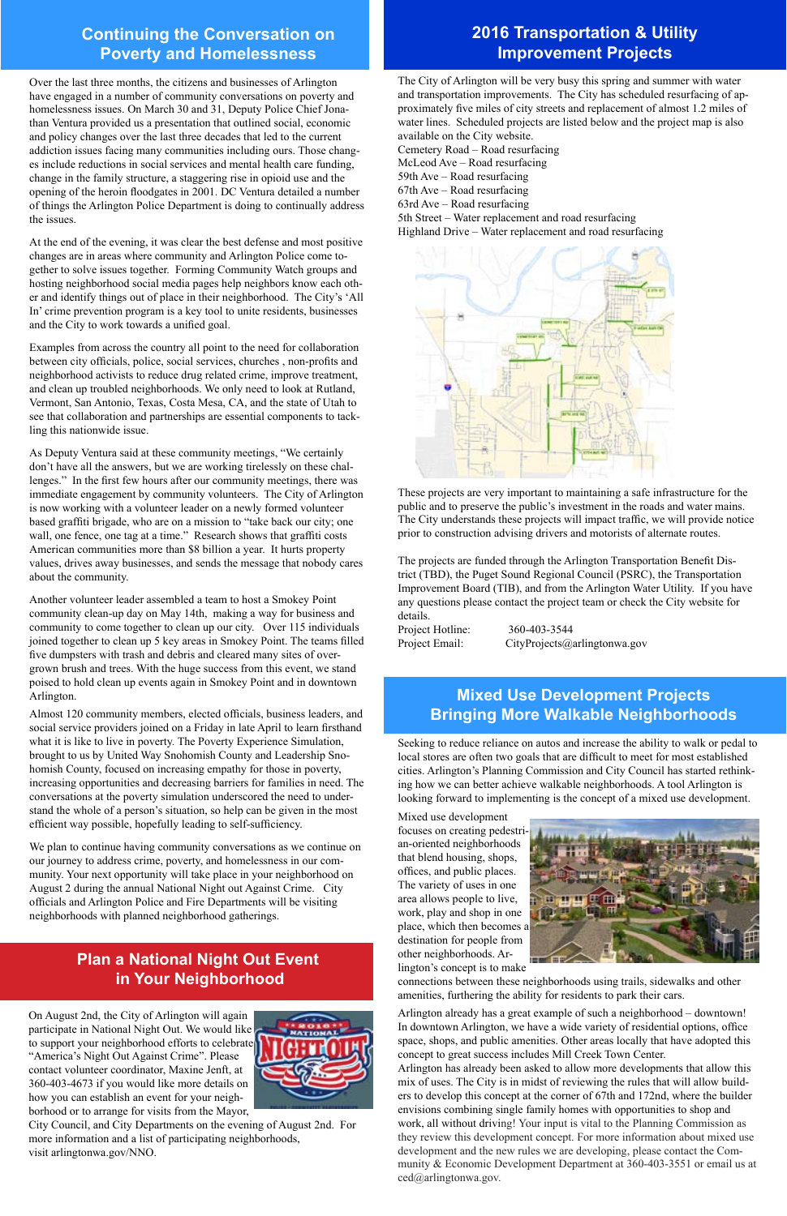The City of Arlington will be very busy this spring and summer with water and transportation improvements. The City has scheduled resurfacing of approximately five miles of city streets and replacement of almost 1.2 miles of water lines. Scheduled projects are listed below and the project map is also available on the City website.

Cemetery Road – Road resurfacing McLeod Ave – Road resurfacing 59th Ave – Road resurfacing 67th Ave – Road resurfacing

63rd Ave – Road resurfacing

5th Street – Water replacement and road resurfacing Highland Drive – Water replacement and road resurfacing



These projects are very important to maintaining a safe infrastructure for the public and to preserve the public's investment in the roads and water mains. The City understands these projects will impact traffic, we will provide notice prior to construction advising drivers and motorists of alternate routes.

The projects are funded through the Arlington Transportation Benefit District (TBD), the Puget Sound Regional Council (PSRC), the Transportation Improvement Board (TIB), and from the Arlington Water Utility. If you have any questions please contact the project team or check the City website for details.

Project Hotline: 360-403-3544

Project Email: CityProjects@arlingtonwa.gov

## **2016 Transportation & Utility Improvement Projects**

Over the last three months, the citizens and businesses of Arlington have engaged in a number of community conversations on poverty and homelessness issues. On March 30 and 31, Deputy Police Chief Jonathan Ventura provided us a presentation that outlined social, economic and policy changes over the last three decades that led to the current addiction issues facing many communities including ours. Those changes include reductions in social services and mental health care funding, change in the family structure, a staggering rise in opioid use and the opening of the heroin floodgates in 2001. DC Ventura detailed a number of things the Arlington Police Department is doing to continually address the issues.

At the end of the evening, it was clear the best defense and most positive changes are in areas where community and Arlington Police come together to solve issues together. Forming Community Watch groups and hosting neighborhood social media pages help neighbors know each other and identify things out of place in their neighborhood. The City's 'All In' crime prevention program is a key tool to unite residents, businesses and the City to work towards a unified goal.

Examples from across the country all point to the need for collaboration between city officials, police, social services, churches , non-profits and neighborhood activists to reduce drug related crime, improve treatment, and clean up troubled neighborhoods. We only need to look at Rutland, Vermont, San Antonio, Texas, Costa Mesa, CA, and the state of Utah to see that collaboration and partnerships are essential components to tackling this nationwide issue.

> Mixed use development focuses on creating pedestrian-oriented neighborhoods that blend housing, shops, offices, and public places. The variety of uses in one area allows people to live, work, play and shop in one place, which then becomes



As Deputy Ventura said at these community meetings, "We certainly don't have all the answers, but we are working tirelessly on these challenges." In the first few hours after our community meetings, there was immediate engagement by community volunteers. The City of Arlington is now working with a volunteer leader on a newly formed volunteer based graffiti brigade, who are on a mission to "take back our city; one wall, one fence, one tag at a time." Research shows that graffiti costs American communities more than \$8 billion a year. It hurts property values, drives away businesses, and sends the message that nobody cares about the community.

Another volunteer leader assembled a team to host a Smokey Point community clean-up day on May 14th, making a way for business and community to come together to clean up our city. Over 115 individuals joined together to clean up 5 key areas in Smokey Point. The teams filled five dumpsters with trash and debris and cleared many sites of overgrown brush and trees. With the huge success from this event, we stand poised to hold clean up events again in Smokey Point and in downtown Arlington.

Almost 120 community members, elected officials, business leaders, and social service providers joined on a Friday in late April to learn firsthand what it is like to live in poverty. The Poverty Experience Simulation, brought to us by United Way Snohomish County and Leadership Snohomish County, focused on increasing empathy for those in poverty, increasing opportunities and decreasing barriers for families in need. The conversations at the poverty simulation underscored the need to understand the whole of a person's situation, so help can be given in the most efficient way possible, hopefully leading to self-sufficiency.

We plan to continue having community conversations as we continue on our journey to address crime, poverty, and homelessness in our community. Your next opportunity will take place in your neighborhood on August 2 during the annual National Night out Against Crime. City officials and Arlington Police and Fire Departments will be visiting neighborhoods with planned neighborhood gatherings.

## **Continuing the Conversation on Poverty and Homelessness**

On August 2nd, the City of Arlington will again participate in National Night Out. We would like to support your neighborhood efforts to celebrate "America's Night Out Against Crime". Please contact volunteer coordinator, Maxine Jenft, at 360-403-4673 if you would like more details on how you can establish an event for your neighborhood or to arrange for visits from the Mayor,



City Council, and City Departments on the evening of August 2nd. For more information and a list of participating neighborhoods, visit arlingtonwa.gov/NNO.

Seeking to reduce reliance on autos and increase the ability to walk or pedal to local stores are often two goals that are difficult to meet for most established cities. Arlington's Planning Commission and City Council has started rethinking how we can better achieve walkable neighborhoods. A tool Arlington is looking forward to implementing is the concept of a mixed use development.

destination for people from other neighborhoods. Arlington's concept is to make



connections between these neighborhoods using trails, sidewalks and other amenities, furthering the ability for residents to park their cars.

Arlington already has a great example of such a neighborhood – downtown! In downtown Arlington, we have a wide variety of residential options, office space, shops, and public amenities. Other areas locally that have adopted this concept to great success includes Mill Creek Town Center.

Arlington has already been asked to allow more developments that allow this mix of uses. The City is in midst of reviewing the rules that will allow builders to develop this concept at the corner of 67th and 172nd, where the builder envisions combining single family homes with opportunities to shop and work, all without driving! Your input is vital to the Planning Commission as they review this development concept. For more information about mixed use development and the new rules we are developing, please contact the Community & Economic Development Department at 360-403-3551 or email us at ced@arlingtonwa.gov.

## **Plan a National Night Out Event in Your Neighborhood**

## **Mixed Use Development Projects Bringing More Walkable Neighborhoods**